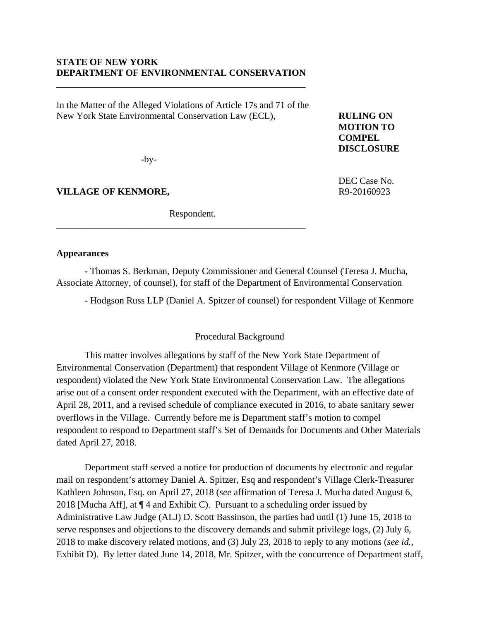# **STATE OF NEW YORK DEPARTMENT OF ENVIRONMENTAL CONSERVATION**

\_\_\_\_\_\_\_\_\_\_\_\_\_\_\_\_\_\_\_\_\_\_\_\_\_\_\_\_\_\_\_\_\_\_\_\_\_\_\_\_\_\_\_\_\_\_\_\_\_\_\_\_\_

In the Matter of the Alleged Violations of Article 17s and 71 of the New York State Environmental Conservation Law (ECL), **RULING ON** 

**MOTION TO COMPEL DISCLOSURE** 

DEC Case No.

-by-

**VILLAGE OF KENMORE,** R9-20160923

Respondent.

\_\_\_\_\_\_\_\_\_\_\_\_\_\_\_\_\_\_\_\_\_\_\_\_\_\_\_\_\_\_\_\_\_\_\_\_\_\_\_\_\_\_\_\_\_\_\_\_\_\_\_\_\_

## **Appearances**

**-** Thomas S. Berkman, Deputy Commissioner and General Counsel (Teresa J. Mucha, Associate Attorney, of counsel), for staff of the Department of Environmental Conservation

- Hodgson Russ LLP (Daniel A. Spitzer of counsel) for respondent Village of Kenmore

## Procedural Background

 This matter involves allegations by staff of the New York State Department of Environmental Conservation (Department) that respondent Village of Kenmore (Village or respondent) violated the New York State Environmental Conservation Law. The allegations arise out of a consent order respondent executed with the Department, with an effective date of April 28, 2011, and a revised schedule of compliance executed in 2016, to abate sanitary sewer overflows in the Village. Currently before me is Department staff's motion to compel respondent to respond to Department staff's Set of Demands for Documents and Other Materials dated April 27, 2018.

Department staff served a notice for production of documents by electronic and regular mail on respondent's attorney Daniel A. Spitzer, Esq and respondent's Village Clerk-Treasurer Kathleen Johnson, Esq. on April 27, 2018 (*see* affirmation of Teresa J. Mucha dated August 6, 2018 [Mucha Aff], at  $\P$  4 and Exhibit C). Pursuant to a scheduling order issued by Administrative Law Judge (ALJ) D. Scott Bassinson, the parties had until (1) June 15, 2018 to serve responses and objections to the discovery demands and submit privilege logs, (2) July 6, 2018 to make discovery related motions, and (3) July 23, 2018 to reply to any motions (*see id.*, Exhibit D). By letter dated June 14, 2018, Mr. Spitzer, with the concurrence of Department staff,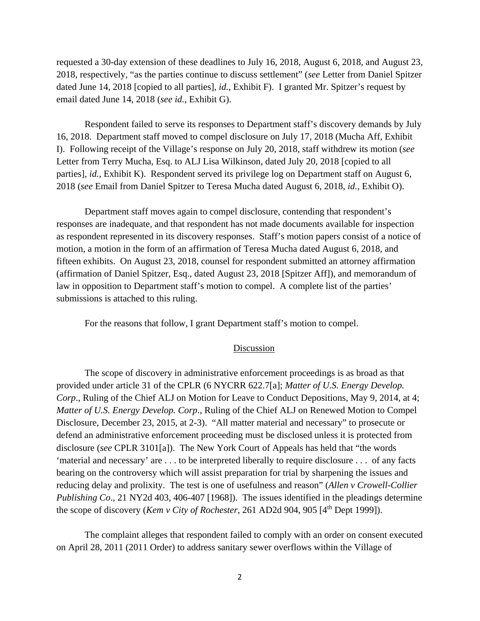requested a 30-day extension of these deadlines to July 16, 2018, August 6, 2018, and August 23, 2018, respectively, "as the parties continue to discuss settlement" (*see* Letter from Daniel Spitzer dated June 14, 2018 [copied to all parties], *id.*, Exhibit F). I granted Mr. Spitzer's request by email dated June 14, 2018 (*see id.*, Exhibit G).

Respondent failed to serve its responses to Department staff's discovery demands by July 16, 2018. Department staff moved to compel disclosure on July 17, 2018 (Mucha Aff, Exhibit I). Following receipt of the Village's response on July 20, 2018, staff withdrew its motion (*see* Letter from Terry Mucha, Esq. to ALJ Lisa Wilkinson, dated July 20, 2018 [copied to all parties], *id.*, Exhibit K). Respondent served its privilege log on Department staff on August 6, 2018 (*see* Email from Daniel Spitzer to Teresa Mucha dated August 6, 2018, *id.*, Exhibit O).

Department staff moves again to compel disclosure, contending that respondent's responses are inadequate, and that respondent has not made documents available for inspection as respondent represented in its discovery responses. Staff's motion papers consist of a notice of motion, a motion in the form of an affirmation of Teresa Mucha dated August 6, 2018, and fifteen exhibits. On August 23, 2018, counsel for respondent submitted an attorney affirmation (affirmation of Daniel Spitzer, Esq., dated August 23, 2018 [Spitzer Aff]), and memorandum of law in opposition to Department staff's motion to compel. A complete list of the parties' submissions is attached to this ruling.

For the reasons that follow, I grant Department staff's motion to compel.

### Discussion

The scope of discovery in administrative enforcement proceedings is as broad as that provided under article 31 of the CPLR (6 NYCRR 622.7[a]; *Matter of U.S. Energy Develop. Corp*., Ruling of the Chief ALJ on Motion for Leave to Conduct Depositions, May 9, 2014, at 4; *Matter of U.S. Energy Develop. Corp*., Ruling of the Chief ALJ on Renewed Motion to Compel Disclosure, December 23, 2015, at 2-3). "All matter material and necessary" to prosecute or defend an administrative enforcement proceeding must be disclosed unless it is protected from disclosure (*see* CPLR 3101[a]). The New York Court of Appeals has held that "the words 'material and necessary' are . . . to be interpreted liberally to require disclosure . . . of any facts bearing on the controversy which will assist preparation for trial by sharpening the issues and reducing delay and prolixity. The test is one of usefulness and reason" (*Allen v Crowell-Collier Publishing Co*., 21 NY2d 403, 406-407 [1968]). The issues identified in the pleadings determine the scope of discovery (*Kem v City of Rochester*, 261 AD2d 904, 905 [4<sup>th</sup> Dept 1999]).

The complaint alleges that respondent failed to comply with an order on consent executed on April 28, 2011 (2011 Order) to address sanitary sewer overflows within the Village of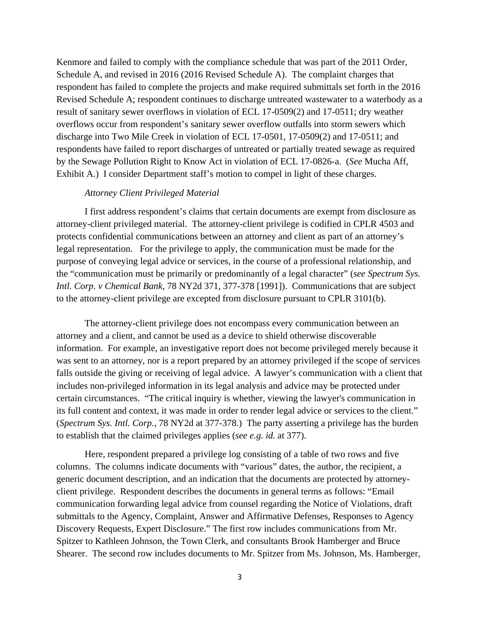Kenmore and failed to comply with the compliance schedule that was part of the 2011 Order, Schedule A, and revised in 2016 (2016 Revised Schedule A). The complaint charges that respondent has failed to complete the projects and make required submittals set forth in the 2016 Revised Schedule A; respondent continues to discharge untreated wastewater to a waterbody as a result of sanitary sewer overflows in violation of ECL 17-0509(2) and 17-0511; dry weather overflows occur from respondent's sanitary sewer overflow outfalls into storm sewers which discharge into Two Mile Creek in violation of ECL 17-0501, 17-0509(2) and 17-0511; and respondents have failed to report discharges of untreated or partially treated sewage as required by the Sewage Pollution Right to Know Act in violation of ECL 17-0826-a. (*See* Mucha Aff, Exhibit A.) I consider Department staff's motion to compel in light of these charges.

#### *Attorney Client Privileged Material*

I first address respondent's claims that certain documents are exempt from disclosure as attorney-client privileged material. The attorney-client privilege is codified in CPLR 4503 and protects confidential communications between an attorney and client as part of an attorney's legal representation. For the privilege to apply, the communication must be made for the purpose of conveying legal advice or services, in the course of a professional relationship, and the "communication must be primarily or predominantly of a legal character" (*see Spectrum Sys. Intl. Corp. v Chemical Bank*, 78 NY2d 371, 377-378 [1991]). Communications that are subject to the attorney-client privilege are excepted from disclosure pursuant to CPLR 3101(b).

The attorney-client privilege does not encompass every communication between an attorney and a client, and cannot be used as a device to shield otherwise discoverable information. For example, an investigative report does not become privileged merely because it was sent to an attorney, nor is a report prepared by an attorney privileged if the scope of services falls outside the giving or receiving of legal advice. A lawyer's communication with a client that includes non-privileged information in its legal analysis and advice may be protected under certain circumstances. "The critical inquiry is whether, viewing the lawyer's communication in its full content and context, it was made in order to render legal advice or services to the client." (*Spectrum Sys. Intl. Corp.*, 78 NY2d at 377-378.) The party asserting a privilege has the burden to establish that the claimed privileges applies (*see e.g. id.* at 377).

Here, respondent prepared a privilege log consisting of a table of two rows and five columns. The columns indicate documents with "various" dates, the author, the recipient, a generic document description, and an indication that the documents are protected by attorneyclient privilege. Respondent describes the documents in general terms as follows: "Email communication forwarding legal advice from counsel regarding the Notice of Violations, draft submittals to the Agency, Complaint, Answer and Affirmative Defenses, Responses to Agency Discovery Requests, Expert Disclosure." The first row includes communications from Mr. Spitzer to Kathleen Johnson, the Town Clerk, and consultants Brook Hamberger and Bruce Shearer. The second row includes documents to Mr. Spitzer from Ms. Johnson, Ms. Hamberger,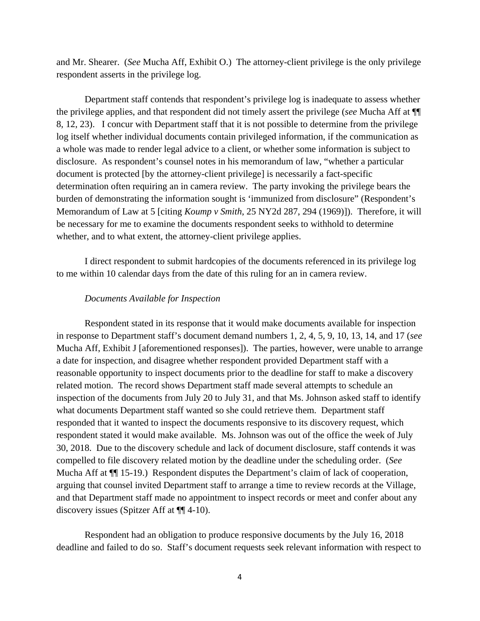and Mr. Shearer. (*See* Mucha Aff, Exhibit O.) The attorney-client privilege is the only privilege respondent asserts in the privilege log.

Department staff contends that respondent's privilege log is inadequate to assess whether the privilege applies, and that respondent did not timely assert the privilege (*see* Mucha Aff at ¶¶ 8, 12, 23). I concur with Department staff that it is not possible to determine from the privilege log itself whether individual documents contain privileged information, if the communication as a whole was made to render legal advice to a client, or whether some information is subject to disclosure. As respondent's counsel notes in his memorandum of law, "whether a particular document is protected [by the attorney-client privilege] is necessarily a fact-specific determination often requiring an in camera review. The party invoking the privilege bears the burden of demonstrating the information sought is 'immunized from disclosure" (Respondent's Memorandum of Law at 5 [citing *Koump v Smith*, 25 NY2d 287, 294 (1969)]). Therefore, it will be necessary for me to examine the documents respondent seeks to withhold to determine whether, and to what extent, the attorney-client privilege applies.

I direct respondent to submit hardcopies of the documents referenced in its privilege log to me within 10 calendar days from the date of this ruling for an in camera review.

## *Documents Available for Inspection*

Respondent stated in its response that it would make documents available for inspection in response to Department staff's document demand numbers 1, 2, 4, 5, 9, 10, 13, 14, and 17 (*see* Mucha Aff, Exhibit J [aforementioned responses]). The parties, however, were unable to arrange a date for inspection, and disagree whether respondent provided Department staff with a reasonable opportunity to inspect documents prior to the deadline for staff to make a discovery related motion. The record shows Department staff made several attempts to schedule an inspection of the documents from July 20 to July 31, and that Ms. Johnson asked staff to identify what documents Department staff wanted so she could retrieve them. Department staff responded that it wanted to inspect the documents responsive to its discovery request, which respondent stated it would make available. Ms. Johnson was out of the office the week of July 30, 2018. Due to the discovery schedule and lack of document disclosure, staff contends it was compelled to file discovery related motion by the deadline under the scheduling order. (*See* Mucha Aff at  $\P$ [15-19.) Respondent disputes the Department's claim of lack of cooperation, arguing that counsel invited Department staff to arrange a time to review records at the Village, and that Department staff made no appointment to inspect records or meet and confer about any discovery issues (Spitzer Aff at ¶¶ 4-10).

Respondent had an obligation to produce responsive documents by the July 16, 2018 deadline and failed to do so. Staff's document requests seek relevant information with respect to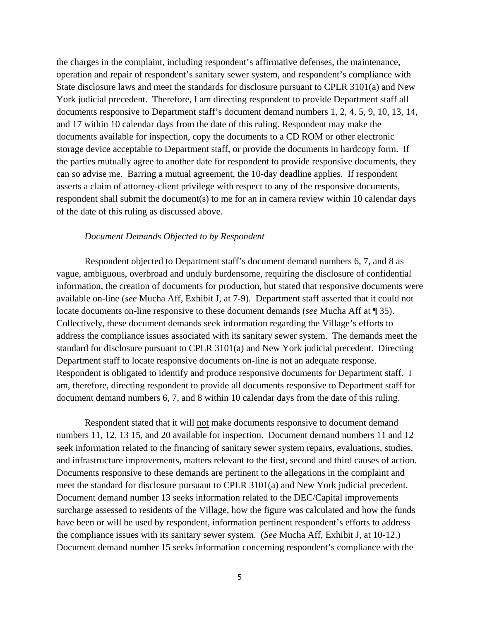the charges in the complaint, including respondent's affirmative defenses, the maintenance, operation and repair of respondent's sanitary sewer system, and respondent's compliance with State disclosure laws and meet the standards for disclosure pursuant to CPLR 3101(a) and New York judicial precedent. Therefore, I am directing respondent to provide Department staff all documents responsive to Department staff's document demand numbers 1, 2, 4, 5, 9, 10, 13, 14, and 17 within 10 calendar days from the date of this ruling. Respondent may make the documents available for inspection, copy the documents to a CD ROM or other electronic storage device acceptable to Department staff, or provide the documents in hardcopy form. If the parties mutually agree to another date for respondent to provide responsive documents, they can so advise me. Barring a mutual agreement, the 10-day deadline applies. If respondent asserts a claim of attorney-client privilege with respect to any of the responsive documents, respondent shall submit the document(s) to me for an in camera review within 10 calendar days of the date of this ruling as discussed above.

#### *Document Demands Objected to by Respondent*

Respondent objected to Department staff's document demand numbers 6, 7, and 8 as vague, ambiguous, overbroad and unduly burdensome, requiring the disclosure of confidential information, the creation of documents for production, but stated that responsive documents were available on-line (*see* Mucha Aff, Exhibit J, at 7-9). Department staff asserted that it could not locate documents on-line responsive to these document demands (*see* Mucha Aff at ¶ 35). Collectively, these document demands seek information regarding the Village's efforts to address the compliance issues associated with its sanitary sewer system. The demands meet the standard for disclosure pursuant to CPLR 3101(a) and New York judicial precedent. Directing Department staff to locate responsive documents on-line is not an adequate response. Respondent is obligated to identify and produce responsive documents for Department staff. I am, therefore, directing respondent to provide all documents responsive to Department staff for document demand numbers 6, 7, and 8 within 10 calendar days from the date of this ruling.

Respondent stated that it will not make documents responsive to document demand numbers 11, 12, 13 15, and 20 available for inspection. Document demand numbers 11 and 12 seek information related to the financing of sanitary sewer system repairs, evaluations, studies, and infrastructure improvements, matters relevant to the first, second and third causes of action. Documents responsive to these demands are pertinent to the allegations in the complaint and meet the standard for disclosure pursuant to CPLR 3101(a) and New York judicial precedent. Document demand number 13 seeks information related to the DEC/Capital improvements surcharge assessed to residents of the Village, how the figure was calculated and how the funds have been or will be used by respondent, information pertinent respondent's efforts to address the compliance issues with its sanitary sewer system. (*See* Mucha Aff, Exhibit J, at 10-12.) Document demand number 15 seeks information concerning respondent's compliance with the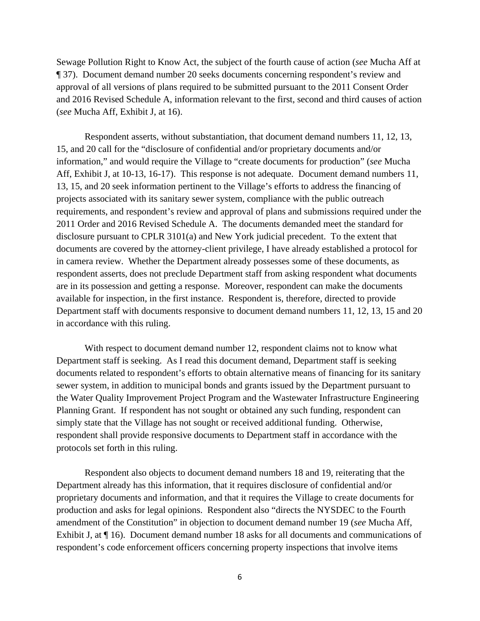Sewage Pollution Right to Know Act, the subject of the fourth cause of action (*see* Mucha Aff at ¶ 37). Document demand number 20 seeks documents concerning respondent's review and approval of all versions of plans required to be submitted pursuant to the 2011 Consent Order and 2016 Revised Schedule A, information relevant to the first, second and third causes of action (*see* Mucha Aff, Exhibit J, at 16).

Respondent asserts, without substantiation, that document demand numbers 11, 12, 13, 15, and 20 call for the "disclosure of confidential and/or proprietary documents and/or information," and would require the Village to "create documents for production" (*see* Mucha Aff, Exhibit J, at 10-13, 16-17). This response is not adequate. Document demand numbers 11, 13, 15, and 20 seek information pertinent to the Village's efforts to address the financing of projects associated with its sanitary sewer system, compliance with the public outreach requirements, and respondent's review and approval of plans and submissions required under the 2011 Order and 2016 Revised Schedule A. The documents demanded meet the standard for disclosure pursuant to CPLR 3101(a) and New York judicial precedent. To the extent that documents are covered by the attorney-client privilege, I have already established a protocol for in camera review. Whether the Department already possesses some of these documents, as respondent asserts, does not preclude Department staff from asking respondent what documents are in its possession and getting a response. Moreover, respondent can make the documents available for inspection, in the first instance. Respondent is, therefore, directed to provide Department staff with documents responsive to document demand numbers 11, 12, 13, 15 and 20 in accordance with this ruling.

With respect to document demand number 12, respondent claims not to know what Department staff is seeking. As I read this document demand, Department staff is seeking documents related to respondent's efforts to obtain alternative means of financing for its sanitary sewer system, in addition to municipal bonds and grants issued by the Department pursuant to the Water Quality Improvement Project Program and the Wastewater Infrastructure Engineering Planning Grant. If respondent has not sought or obtained any such funding, respondent can simply state that the Village has not sought or received additional funding. Otherwise, respondent shall provide responsive documents to Department staff in accordance with the protocols set forth in this ruling.

Respondent also objects to document demand numbers 18 and 19, reiterating that the Department already has this information, that it requires disclosure of confidential and/or proprietary documents and information, and that it requires the Village to create documents for production and asks for legal opinions. Respondent also "directs the NYSDEC to the Fourth amendment of the Constitution" in objection to document demand number 19 (*see* Mucha Aff, Exhibit J, at ¶ 16). Document demand number 18 asks for all documents and communications of respondent's code enforcement officers concerning property inspections that involve items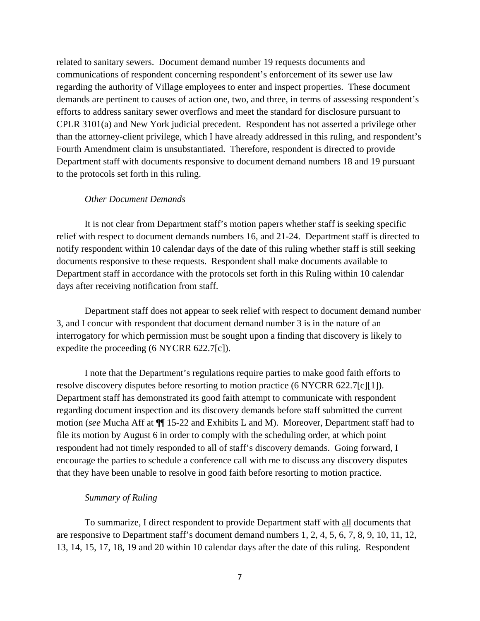related to sanitary sewers. Document demand number 19 requests documents and communications of respondent concerning respondent's enforcement of its sewer use law regarding the authority of Village employees to enter and inspect properties. These document demands are pertinent to causes of action one, two, and three, in terms of assessing respondent's efforts to address sanitary sewer overflows and meet the standard for disclosure pursuant to CPLR 3101(a) and New York judicial precedent. Respondent has not asserted a privilege other than the attorney-client privilege, which I have already addressed in this ruling, and respondent's Fourth Amendment claim is unsubstantiated. Therefore, respondent is directed to provide Department staff with documents responsive to document demand numbers 18 and 19 pursuant to the protocols set forth in this ruling.

#### *Other Document Demands*

It is not clear from Department staff's motion papers whether staff is seeking specific relief with respect to document demands numbers 16, and 21-24. Department staff is directed to notify respondent within 10 calendar days of the date of this ruling whether staff is still seeking documents responsive to these requests. Respondent shall make documents available to Department staff in accordance with the protocols set forth in this Ruling within 10 calendar days after receiving notification from staff.

Department staff does not appear to seek relief with respect to document demand number 3, and I concur with respondent that document demand number 3 is in the nature of an interrogatory for which permission must be sought upon a finding that discovery is likely to expedite the proceeding (6 NYCRR 622.7[c]).

I note that the Department's regulations require parties to make good faith efforts to resolve discovery disputes before resorting to motion practice (6 NYCRR 622.7[c][1]). Department staff has demonstrated its good faith attempt to communicate with respondent regarding document inspection and its discovery demands before staff submitted the current motion (*see* Mucha Aff at ¶¶ 15-22 and Exhibits L and M). Moreover, Department staff had to file its motion by August 6 in order to comply with the scheduling order, at which point respondent had not timely responded to all of staff's discovery demands. Going forward, I encourage the parties to schedule a conference call with me to discuss any discovery disputes that they have been unable to resolve in good faith before resorting to motion practice.

### *Summary of Ruling*

To summarize, I direct respondent to provide Department staff with all documents that are responsive to Department staff's document demand numbers 1, 2, 4, 5, 6, 7, 8, 9, 10, 11, 12, 13, 14, 15, 17, 18, 19 and 20 within 10 calendar days after the date of this ruling. Respondent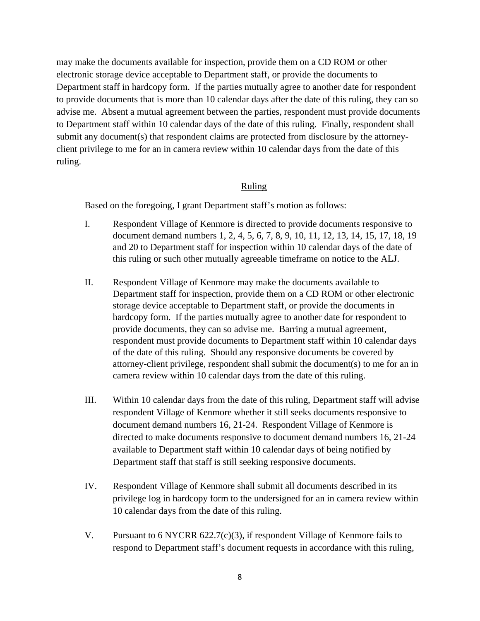may make the documents available for inspection, provide them on a CD ROM or other electronic storage device acceptable to Department staff, or provide the documents to Department staff in hardcopy form. If the parties mutually agree to another date for respondent to provide documents that is more than 10 calendar days after the date of this ruling, they can so advise me. Absent a mutual agreement between the parties, respondent must provide documents to Department staff within 10 calendar days of the date of this ruling. Finally, respondent shall submit any document(s) that respondent claims are protected from disclosure by the attorneyclient privilege to me for an in camera review within 10 calendar days from the date of this ruling.

# Ruling

Based on the foregoing, I grant Department staff's motion as follows:

- I. Respondent Village of Kenmore is directed to provide documents responsive to document demand numbers 1, 2, 4, 5, 6, 7, 8, 9, 10, 11, 12, 13, 14, 15, 17, 18, 19 and 20 to Department staff for inspection within 10 calendar days of the date of this ruling or such other mutually agreeable timeframe on notice to the ALJ.
- II. Respondent Village of Kenmore may make the documents available to Department staff for inspection, provide them on a CD ROM or other electronic storage device acceptable to Department staff, or provide the documents in hardcopy form. If the parties mutually agree to another date for respondent to provide documents, they can so advise me. Barring a mutual agreement, respondent must provide documents to Department staff within 10 calendar days of the date of this ruling. Should any responsive documents be covered by attorney-client privilege, respondent shall submit the document(s) to me for an in camera review within 10 calendar days from the date of this ruling.
- III. Within 10 calendar days from the date of this ruling, Department staff will advise respondent Village of Kenmore whether it still seeks documents responsive to document demand numbers 16, 21-24. Respondent Village of Kenmore is directed to make documents responsive to document demand numbers 16, 21-24 available to Department staff within 10 calendar days of being notified by Department staff that staff is still seeking responsive documents.
- IV. Respondent Village of Kenmore shall submit all documents described in its privilege log in hardcopy form to the undersigned for an in camera review within 10 calendar days from the date of this ruling.
- V. Pursuant to 6 NYCRR 622.7(c)(3), if respondent Village of Kenmore fails to respond to Department staff's document requests in accordance with this ruling,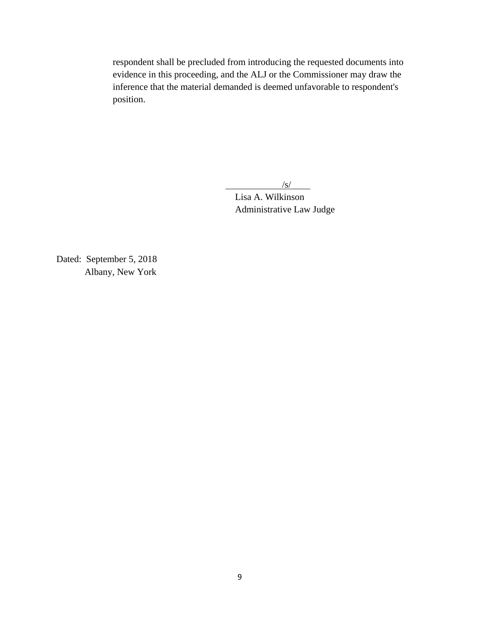respondent shall be precluded from introducing the requested documents into evidence in this proceeding, and the ALJ or the Commissioner may draw the inference that the material demanded is deemed unfavorable to respondent's position.

/s/

 Lisa A. Wilkinson Administrative Law Judge

Dated: September 5, 2018 Albany, New York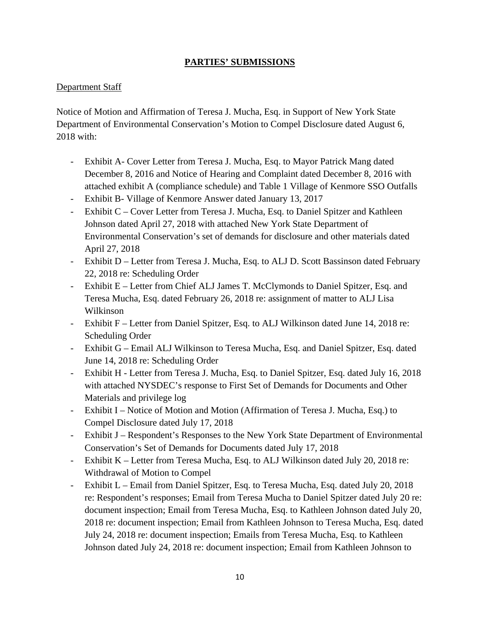# **PARTIES' SUBMISSIONS**

# Department Staff

Notice of Motion and Affirmation of Teresa J. Mucha, Esq. in Support of New York State Department of Environmental Conservation's Motion to Compel Disclosure dated August 6, 2018 with:

- Exhibit A- Cover Letter from Teresa J. Mucha, Esq. to Mayor Patrick Mang dated December 8, 2016 and Notice of Hearing and Complaint dated December 8, 2016 with attached exhibit A (compliance schedule) and Table 1 Village of Kenmore SSO Outfalls
- Exhibit B- Village of Kenmore Answer dated January 13, 2017
- Exhibit C Cover Letter from Teresa J. Mucha, Esq. to Daniel Spitzer and Kathleen Johnson dated April 27, 2018 with attached New York State Department of Environmental Conservation's set of demands for disclosure and other materials dated April 27, 2018
- Exhibit D Letter from Teresa J. Mucha, Esq. to ALJ D. Scott Bassinson dated February 22, 2018 re: Scheduling Order
- Exhibit E Letter from Chief ALJ James T. McClymonds to Daniel Spitzer, Esq. and Teresa Mucha, Esq. dated February 26, 2018 re: assignment of matter to ALJ Lisa Wilkinson
- Exhibit F Letter from Daniel Spitzer, Esq. to ALJ Wilkinson dated June 14, 2018 re: Scheduling Order
- Exhibit G Email ALJ Wilkinson to Teresa Mucha, Esq. and Daniel Spitzer, Esq. dated June 14, 2018 re: Scheduling Order
- Exhibit H Letter from Teresa J. Mucha, Esq. to Daniel Spitzer, Esq. dated July 16, 2018 with attached NYSDEC's response to First Set of Demands for Documents and Other Materials and privilege log
- Exhibit I Notice of Motion and Motion (Affirmation of Teresa J. Mucha, Esq.) to Compel Disclosure dated July 17, 2018
- Exhibit J Respondent's Responses to the New York State Department of Environmental Conservation's Set of Demands for Documents dated July 17, 2018
- Exhibit K Letter from Teresa Mucha, Esq. to ALJ Wilkinson dated July 20, 2018 re: Withdrawal of Motion to Compel
- Exhibit L Email from Daniel Spitzer, Esq. to Teresa Mucha, Esq. dated July 20, 2018 re: Respondent's responses; Email from Teresa Mucha to Daniel Spitzer dated July 20 re: document inspection; Email from Teresa Mucha, Esq. to Kathleen Johnson dated July 20, 2018 re: document inspection; Email from Kathleen Johnson to Teresa Mucha, Esq. dated July 24, 2018 re: document inspection; Emails from Teresa Mucha, Esq. to Kathleen Johnson dated July 24, 2018 re: document inspection; Email from Kathleen Johnson to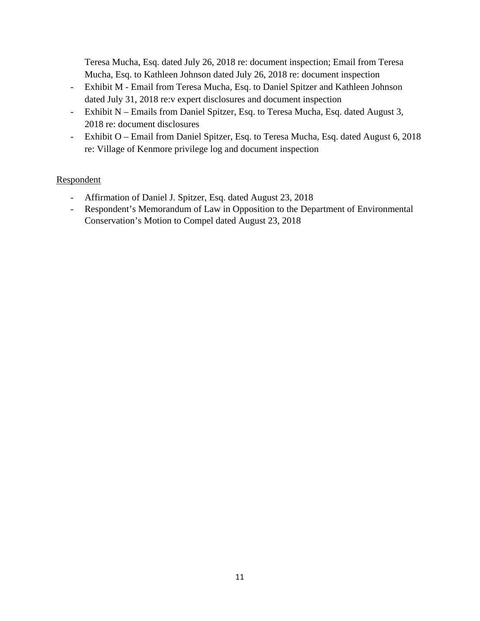Teresa Mucha, Esq. dated July 26, 2018 re: document inspection; Email from Teresa Mucha, Esq. to Kathleen Johnson dated July 26, 2018 re: document inspection

- Exhibit M Email from Teresa Mucha, Esq. to Daniel Spitzer and Kathleen Johnson dated July 31, 2018 re:v expert disclosures and document inspection
- Exhibit N Emails from Daniel Spitzer, Esq. to Teresa Mucha, Esq. dated August 3, 2018 re: document disclosures
- Exhibit O Email from Daniel Spitzer, Esq. to Teresa Mucha, Esq. dated August 6, 2018 re: Village of Kenmore privilege log and document inspection

# Respondent

- Affirmation of Daniel J. Spitzer, Esq. dated August 23, 2018
- Respondent's Memorandum of Law in Opposition to the Department of Environmental Conservation's Motion to Compel dated August 23, 2018